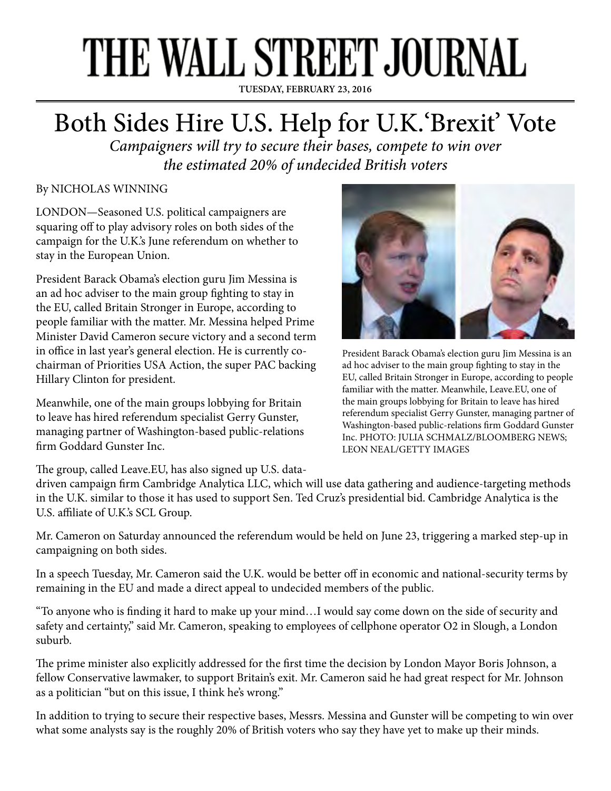## THE WALL STREET JOURNAL

**TUESDAY, FEBRUARY 23, 2016**

## Both Sides Hire U.S. Help for U.K.'Brexit' Vote

*Campaigners will try to secure their bases, compete to win over the estimated 20% of undecided British voters*

By NICHOLAS WINNING

LONDON—Seasoned U.S. political campaigners are squaring off to play advisory roles on both sides of the campaign for the U.K.'s June referendum on whether to stay in the European Union.

President Barack Obama's election guru Jim Messina is an ad hoc adviser to the main group fighting to stay in the EU, called Britain Stronger in Europe, according to people familiar with the matter. Mr. Messina helped Prime Minister David Cameron secure victory and a second term in office in last year's general election. He is currently cochairman of Priorities USA Action, the super PAC backing Hillary Clinton for president.

Meanwhile, one of the main groups lobbying for Britain to leave has hired referendum specialist Gerry Gunster, managing partner of Washington-based public-relations firm Goddard Gunster Inc.



President Barack Obama's election guru Jim Messina is an ad hoc adviser to the main group fighting to stay in the EU, called Britain Stronger in Europe, according to people familiar with the matter. Meanwhile, Leave.EU, one of the main groups lobbying for Britain to leave has hired referendum specialist Gerry Gunster, managing partner of Washington-based public-relations firm Goddard Gunster Inc. PHOTO: JULIA SCHMALZ/BLOOMBERG NEWS; LEON NEAL/GETTY IMAGES

The group, called Leave.EU, has also signed up U.S. data-

driven campaign firm Cambridge Analytica LLC, which will use data gathering and audience-targeting methods in the U.K. similar to those it has used to support Sen. Ted Cruz's presidential bid. Cambridge Analytica is the U.S. affiliate of U.K.'s SCL Group.

Mr. Cameron on Saturday announced the referendum would be held on June 23, triggering a marked step-up in campaigning on both sides.

In a speech Tuesday, Mr. Cameron said the U.K. would be better off in economic and national-security terms by remaining in the EU and made a direct appeal to undecided members of the public.

"To anyone who is finding it hard to make up your mind…I would say come down on the side of security and safety and certainty," said Mr. Cameron, speaking to employees of cellphone operator O2 in Slough, a London suburb.

The prime minister also explicitly addressed for the first time the decision by London Mayor Boris Johnson, a fellow Conservative lawmaker, to support Britain's exit. Mr. Cameron said he had great respect for Mr. Johnson as a politician "but on this issue, I think he's wrong."

In addition to trying to secure their respective bases, Messrs. Messina and Gunster will be competing to win over what some analysts say is the roughly 20% of British voters who say they have yet to make up their minds.